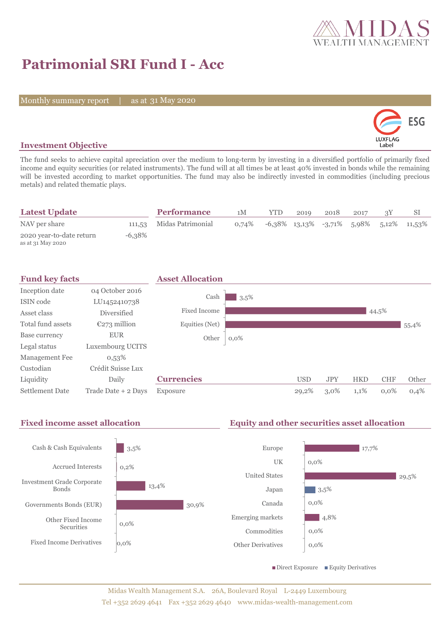

# **Patrimonial SRI Fund I - Acc**

Monthly summary report | as at 31 May 2020



### **Investment Objective**

The fund seeks to achieve capital apreciation over the medium to long-term by investing in a diversified portfolio of primarily fixed income and equity securities (or related instruments). The fund will at all times be at least 40% invested in bonds while the remaining will be invested according to market opportunities. The fund may also be indirectly invested in commodities (including precious metals) and related thematic plays.

| <b>Latest Update</b>                          |           | <b>Performance</b>       | 1M    | YTD                                               | 2019 | 2018 | 2017 |  |
|-----------------------------------------------|-----------|--------------------------|-------|---------------------------------------------------|------|------|------|--|
| NAV per share                                 |           | 111,53 Midas Patrimonial | 0.74% | $-6,38\%$ 13,13\% $-3,71\%$ 5,98\% 5,12\% 11,53\% |      |      |      |  |
| 2020 year-to-date return<br>as at 31 May 2020 | $-6.38\%$ |                          |       |                                                   |      |      |      |  |



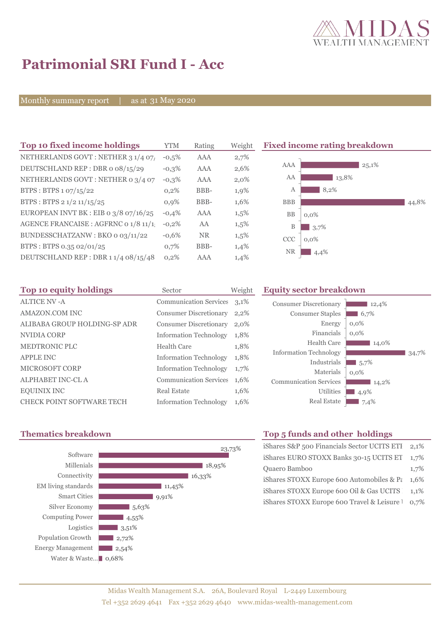

# **Patrimonial SRI Fund I - Acc**

Monthly summary report | as at 31 May 2020

| Top 10 fixed income holdings          | <b>YTM</b> | Rating     | Weigh   |
|---------------------------------------|------------|------------|---------|
| NETHERLANDS GOVT: NETHER 3 1/4 07/    | $-0.5%$    | <b>AAA</b> | 2,7%    |
| DEUTSCHLAND REP: DBR o 08/15/29       | $-0.3%$    | AAA        | 2,6%    |
| NETHERLANDS GOVT : NETHER 0 3/4 07    | $-0.3%$    | AAA        | $2,0\%$ |
| BTPS: BTPS 1 07/15/22                 | 0,2%       | BBB-       | 1,9%    |
| BTPS: BTPS 2 1/2 11/15/25             | 0.9%       | BBB-       | 1,6%    |
| EUROPEAN INVT BK : EIB o 3/8 07/16/25 | $-0.4%$    | AAA        | 1,5%    |
| AGENCE FRANCAISE : AGFRNC 0 1/8 11/1! | $-0,2%$    | AA         | 1,5%    |
| BUNDESSCHATZANW: BKO 0 03/11/22       | $-0.6%$    | <b>NR</b>  | 1,5%    |
| BTPS: BTPS 0.35 02/01/25              | 0,7%       | BBB-       | 1,4%    |
| DEUTSCHLAND REP: DBR 11/4 08/15/48    | 0,2%       | AAA        | 1,4%    |

**Fixed income rating breakdown** 



| Top 10 equity holdings           | Sector                        | Weight |
|----------------------------------|-------------------------------|--------|
| <b>ALTICE NV - A</b>             | <b>Communication Services</b> | 3,1%   |
| AMAZON.COM INC                   | <b>Consumer Discretionary</b> | 2,2%   |
| ALIBABA GROUP HOLDING-SP ADR     | <b>Consumer Discretionary</b> | 2,0%   |
| NVIDIA CORP                      | <b>Information Technology</b> | 1,8%   |
| <b>MEDTRONIC PLC</b>             | Health Care                   | 1,8%   |
| <b>APPLE INC</b>                 | <b>Information Technology</b> | 1,8%   |
| <b>MICROSOFT CORP</b>            | <b>Information Technology</b> | 1,7%   |
| <b>ALPHABET INC-CL A</b>         | <b>Communication Services</b> | 1,6%   |
| <b>EQUINIX INC</b>               | <b>Real Estate</b>            | 1,6%   |
| <b>CHECK POINT SOFTWARE TECH</b> | <b>Information Technology</b> | 1,6%   |

#### **Equity sector breakdown**

| <b>Consumer Discretionary</b><br><b>Consumer Staples</b> | 12,4%<br>6,7% |
|----------------------------------------------------------|---------------|
| Energy                                                   | $0,0\%$       |
| Financials                                               | 0,0%          |
| Health Care                                              | 14,0%         |
| <b>Information Technology</b>                            | 34.7%         |
| Industrials                                              | 5,7%          |
| Materials                                                | $0,0\%$       |
| <b>Communication Services</b>                            | 14,2%         |
| Utilities                                                | 4,9%          |
| <b>Real Estate</b>                                       | 7,4%          |



## **Thematics breakdown Top 5 funds and other holdings**

| iShares S&P 500 Financials Sector UCITS ETI      | $2.1\%$ |
|--------------------------------------------------|---------|
| iShares EURO STOXX Banks 30-15 UCITS ET          | 1.7%    |
| Quaero Bamboo                                    | 1,7%    |
| iShares STOXX Europe 600 Automobiles & $P_{\xi}$ | $1.6\%$ |
| iShares STOXX Europe 600 Oil & Gas UCITS         | $1.1\%$ |
| iShares STOXX Europe 600 Travel & Leisure 1 0,7% |         |